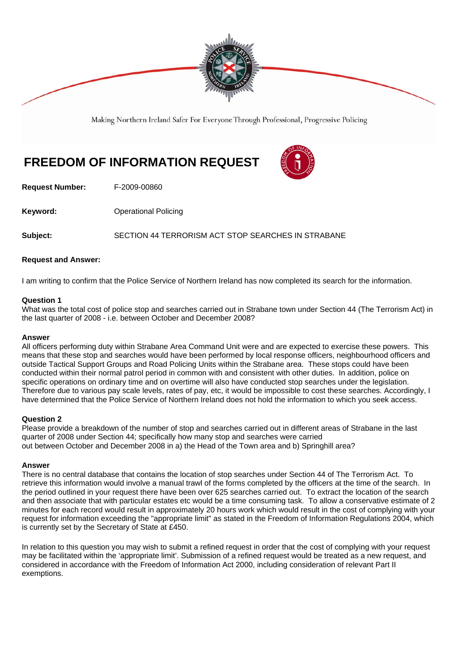

Making Northern Ireland Safer For Everyone Through Professional, Progressive Policing

# **FREEDOM OF INFORMATION REQUEST**



**Request Number:** F-2009-00860

**Keyword: Conservery Operational Policing** 

**Subject:** SECTION 44 TERRORISM ACT STOP SEARCHES IN STRABANE

## **Request and Answer:**

I am writing to confirm that the Police Service of Northern Ireland has now completed its search for the information.

#### **Question 1**

What was the total cost of police stop and searches carried out in Strabane town under Section 44 (The Terrorism Act) in the last quarter of 2008 - i.e. between October and December 2008?

#### **Answer**

All officers performing duty within Strabane Area Command Unit were and are expected to exercise these powers. This means that these stop and searches would have been performed by local response officers, neighbourhood officers and outside Tactical Support Groups and Road Policing Units within the Strabane area. These stops could have been conducted within their normal patrol period in common with and consistent with other duties. In addition, police on specific operations on ordinary time and on overtime will also have conducted stop searches under the legislation. Therefore due to various pay scale levels, rates of pay, etc, it would be impossible to cost these searches. Accordingly, I have determined that the Police Service of Northern Ireland does not hold the information to which you seek access.

## **Question 2**

Please provide a breakdown of the number of stop and searches carried out in different areas of Strabane in the last quarter of 2008 under Section 44; specifically how many stop and searches were carried out between October and December 2008 in a) the Head of the Town area and b) Springhill area?

#### **Answer**

There is no central database that contains the location of stop searches under Section 44 of The Terrorism Act. To retrieve this information would involve a manual trawl of the forms completed by the officers at the time of the search. In the period outlined in your request there have been over 625 searches carried out. To extract the location of the search and then associate that with particular estates etc would be a time consuming task. To allow a conservative estimate of 2 minutes for each record would result in approximately 20 hours work which would result in the cost of complying with your request for information exceeding the "appropriate limit" as stated in the Freedom of Information Regulations 2004, which is currently set by the Secretary of State at £450.

In relation to this question you may wish to submit a refined request in order that the cost of complying with your request may be facilitated within the 'appropriate limit'. Submission of a refined request would be treated as a new request, and considered in accordance with the Freedom of Information Act 2000, including consideration of relevant Part II exemptions.